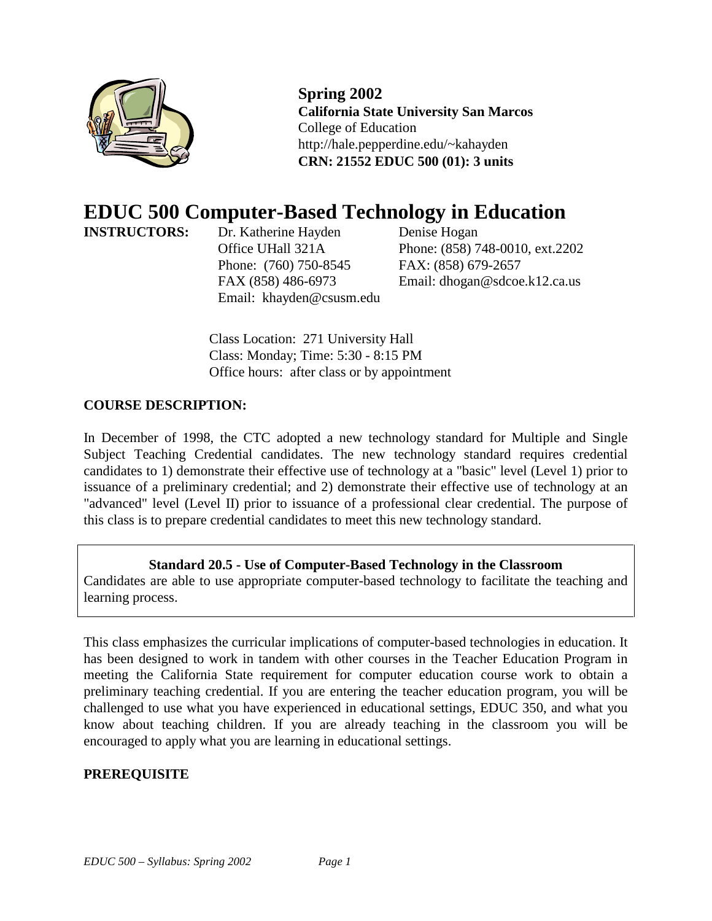

**Spring 2002 California State University San Marcos** College of Education http://hale.pepperdine.edu/~kahayden **CRN: 21552 EDUC 500 (01): 3 units**

## **EDUC 500 Computer-Based Technology in Education**

**INSTRUCTORS:** Dr. Katherine Hayden Office UHall 321A Phone: (760) 750-8545 FAX (858) 486-6973 Email: khayden@csusm.edu

Denise Hogan Phone: (858) 748-0010, ext.2202 FAX: (858) 679-2657 Email: dhogan@sdcoe.k12.ca.us

Class Location: 271 University Hall Class: Monday; Time: 5:30 - 8:15 PM Office hours: after class or by appointment

## **COURSE DESCRIPTION:**

In December of 1998, the CTC adopted a new technology standard for Multiple and Single Subject Teaching Credential candidates. The new technology standard requires credential candidates to 1) demonstrate their effective use of technology at a "basic" level (Level 1) prior to issuance of a preliminary credential; and 2) demonstrate their effective use of technology at an "advanced" level (Level II) prior to issuance of a professional clear credential. The purpose of this class is to prepare credential candidates to meet this new technology standard.

## **Standard 20.5 - Use of Computer-Based Technology in the Classroom**

Candidates are able to use appropriate computer-based technology to facilitate the teaching and learning process.

This class emphasizes the curricular implications of computer-based technologies in education. It has been designed to work in tandem with other courses in the Teacher Education Program in meeting the California State requirement for computer education course work to obtain a preliminary teaching credential. If you are entering the teacher education program, you will be challenged to use what you have experienced in educational settings, EDUC 350, and what you know about teaching children. If you are already teaching in the classroom you will be encouraged to apply what you are learning in educational settings.

## **PREREQUISITE**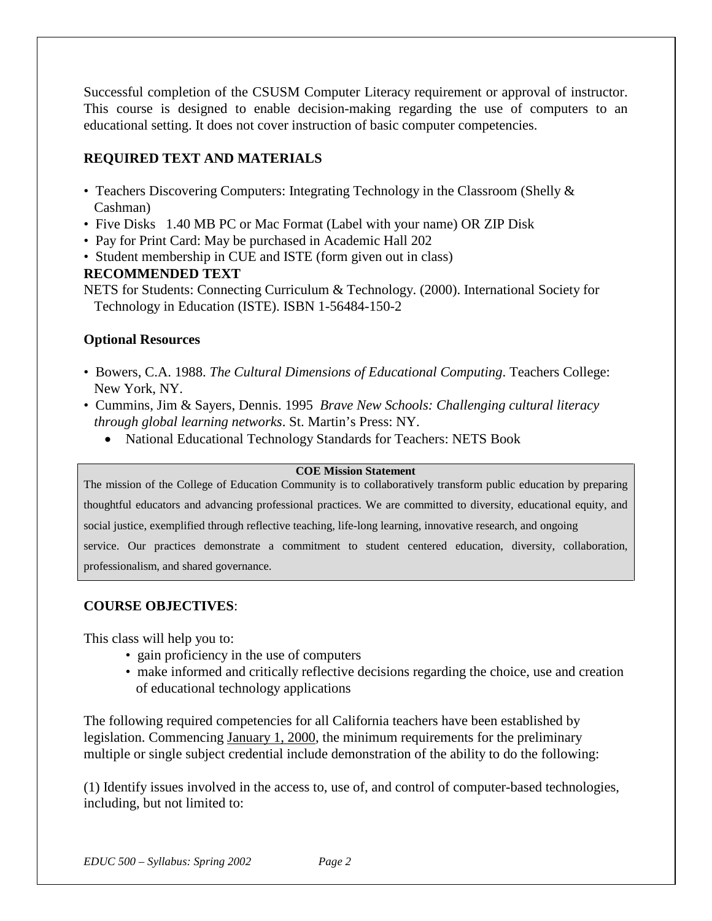Successful completion of the CSUSM Computer Literacy requirement or approval of instructor. This course is designed to enable decision-making regarding the use of computers to an educational setting. It does not cover instruction of basic computer competencies.

## **REQUIRED TEXT AND MATERIALS**

- Teachers Discovering Computers: Integrating Technology in the Classroom (Shelly & Cashman)
- Five Disks 1.40 MB PC or Mac Format (Label with your name) OR ZIP Disk
- Pay for Print Card: May be purchased in Academic Hall 202
- Student membership in CUE and ISTE (form given out in class)

## **RECOMMENDED TEXT**

NETS for Students: Connecting Curriculum & Technology. (2000). International Society for Technology in Education (ISTE). ISBN 1-56484-150-2

## **Optional Resources**

- Bowers, C.A. 1988. *The Cultural Dimensions of Educational Computing*. Teachers College: New York, NY.
- Cummins, Jim & Sayers, Dennis. 1995 *Brave New Schools: Challenging cultural literacy through global learning networks*. St. Martin's Press: NY.
	- National Educational Technology Standards for Teachers: NETS Book

#### **COE Mission Statement**

The mission of the College of Education Community is to collaboratively transform public education by preparing thoughtful educators and advancing professional practices. We are committed to diversity, educational equity, and social justice, exemplified through reflective teaching, life-long learning, innovative research, and ongoing service. Our practices demonstrate a commitment to student centered education, diversity, collaboration, professionalism, and shared governance.

## **COURSE OBJECTIVES**:

This class will help you to:

- gain proficiency in the use of computers
- make informed and critically reflective decisions regarding the choice, use and creation of educational technology applications

The following required competencies for all California teachers have been established by legislation. Commencing January 1, 2000, the minimum requirements for the preliminary multiple or single subject credential include demonstration of the ability to do the following:

(1) Identify issues involved in the access to, use of, and control of computer-based technologies, including, but not limited to: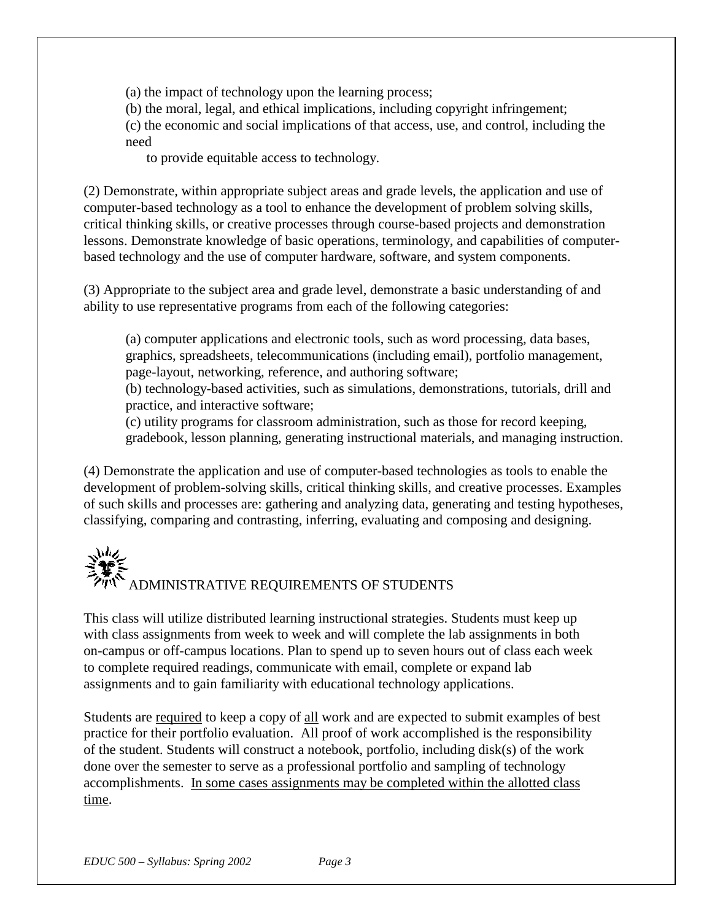(a) the impact of technology upon the learning process;

(b) the moral, legal, and ethical implications, including copyright infringement;

(c) the economic and social implications of that access, use, and control, including the need

to provide equitable access to technology.

(2) Demonstrate, within appropriate subject areas and grade levels, the application and use of computer-based technology as a tool to enhance the development of problem solving skills, critical thinking skills, or creative processes through course-based projects and demonstration lessons. Demonstrate knowledge of basic operations, terminology, and capabilities of computerbased technology and the use of computer hardware, software, and system components.

(3) Appropriate to the subject area and grade level, demonstrate a basic understanding of and ability to use representative programs from each of the following categories:

(a) computer applications and electronic tools, such as word processing, data bases, graphics, spreadsheets, telecommunications (including email), portfolio management, page-layout, networking, reference, and authoring software;

(b) technology-based activities, such as simulations, demonstrations, tutorials, drill and practice, and interactive software;

(c) utility programs for classroom administration, such as those for record keeping, gradebook, lesson planning, generating instructional materials, and managing instruction.

(4) Demonstrate the application and use of computer-based technologies as tools to enable the development of problem-solving skills, critical thinking skills, and creative processes. Examples of such skills and processes are: gathering and analyzing data, generating and testing hypotheses, classifying, comparing and contrasting, inferring, evaluating and composing and designing.

# ふん ADMINISTRATIVE REQUIREMENTS OF STUDENTS

This class will utilize distributed learning instructional strategies. Students must keep up with class assignments from week to week and will complete the lab assignments in both on-campus or off-campus locations. Plan to spend up to seven hours out of class each week to complete required readings, communicate with email, complete or expand lab assignments and to gain familiarity with educational technology applications.

Students are required to keep a copy of all work and are expected to submit examples of best practice for their portfolio evaluation. All proof of work accomplished is the responsibility of the student. Students will construct a notebook, portfolio, including disk(s) of the work done over the semester to serve as a professional portfolio and sampling of technology accomplishments. In some cases assignments may be completed within the allotted class time.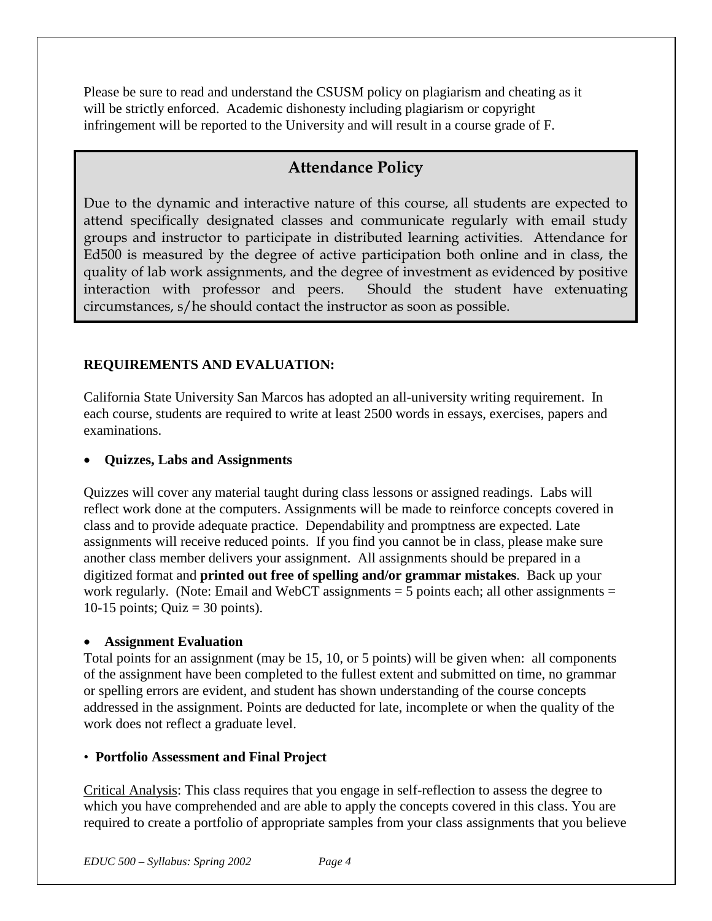Please be sure to read and understand the CSUSM policy on plagiarism and cheating as it will be strictly enforced. Academic dishonesty including plagiarism or copyright infringement will be reported to the University and will result in a course grade of F.

## **Attendance Policy**

Due to the dynamic and interactive nature of this course, all students are expected to attend specifically designated classes and communicate regularly with email study groups and instructor to participate in distributed learning activities. Attendance for Ed500 is measured by the degree of active participation both online and in class, the quality of lab work assignments, and the degree of investment as evidenced by positive interaction with professor and peers. Should the student have extenuating circumstances, s/he should contact the instructor as soon as possible.

## **REQUIREMENTS AND EVALUATION:**

California State University San Marcos has adopted an all-university writing requirement. In each course, students are required to write at least 2500 words in essays, exercises, papers and examinations.

## • **Quizzes, Labs and Assignments**

Quizzes will cover any material taught during class lessons or assigned readings. Labs will reflect work done at the computers. Assignments will be made to reinforce concepts covered in class and to provide adequate practice. Dependability and promptness are expected. Late assignments will receive reduced points. If you find you cannot be in class, please make sure another class member delivers your assignment. All assignments should be prepared in a digitized format and **printed out free of spelling and/or grammar mistakes**. Back up your work regularly. (Note: Email and WebCT assignments  $=$  5 points each; all other assignments  $=$ 10-15 points; Quiz = 30 points).

#### • **Assignment Evaluation**

Total points for an assignment (may be 15, 10, or 5 points) will be given when: all components of the assignment have been completed to the fullest extent and submitted on time, no grammar or spelling errors are evident, and student has shown understanding of the course concepts addressed in the assignment. Points are deducted for late, incomplete or when the quality of the work does not reflect a graduate level.

#### • **Portfolio Assessment and Final Project**

Critical Analysis: This class requires that you engage in self-reflection to assess the degree to which you have comprehended and are able to apply the concepts covered in this class. You are required to create a portfolio of appropriate samples from your class assignments that you believe

*EDUC 500 – Syllabus: Spring 2002 Page 4*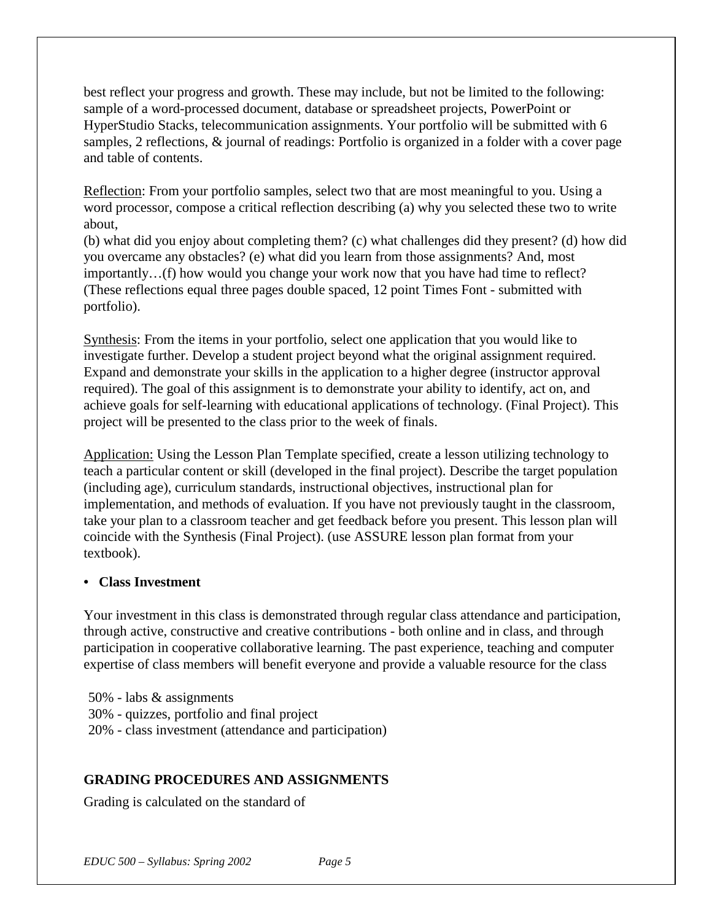best reflect your progress and growth. These may include, but not be limited to the following: sample of a word-processed document, database or spreadsheet projects, PowerPoint or HyperStudio Stacks, telecommunication assignments. Your portfolio will be submitted with 6 samples, 2 reflections, & journal of readings: Portfolio is organized in a folder with a cover page and table of contents.

Reflection: From your portfolio samples, select two that are most meaningful to you. Using a word processor, compose a critical reflection describing (a) why you selected these two to write about,

(b) what did you enjoy about completing them? (c) what challenges did they present? (d) how did you overcame any obstacles? (e) what did you learn from those assignments? And, most importantly…(f) how would you change your work now that you have had time to reflect? (These reflections equal three pages double spaced, 12 point Times Font - submitted with portfolio).

Synthesis: From the items in your portfolio, select one application that you would like to investigate further. Develop a student project beyond what the original assignment required. Expand and demonstrate your skills in the application to a higher degree (instructor approval required). The goal of this assignment is to demonstrate your ability to identify, act on, and achieve goals for self-learning with educational applications of technology. (Final Project). This project will be presented to the class prior to the week of finals.

Application: Using the Lesson Plan Template specified, create a lesson utilizing technology to teach a particular content or skill (developed in the final project). Describe the target population (including age), curriculum standards, instructional objectives, instructional plan for implementation, and methods of evaluation. If you have not previously taught in the classroom, take your plan to a classroom teacher and get feedback before you present. This lesson plan will coincide with the Synthesis (Final Project). (use ASSURE lesson plan format from your textbook).

## **• Class Investment**

Your investment in this class is demonstrated through regular class attendance and participation, through active, constructive and creative contributions - both online and in class, and through participation in cooperative collaborative learning. The past experience, teaching and computer expertise of class members will benefit everyone and provide a valuable resource for the class

50% - labs & assignments 30% - quizzes, portfolio and final project 20% - class investment (attendance and participation)

## **GRADING PROCEDURES AND ASSIGNMENTS**

Grading is calculated on the standard of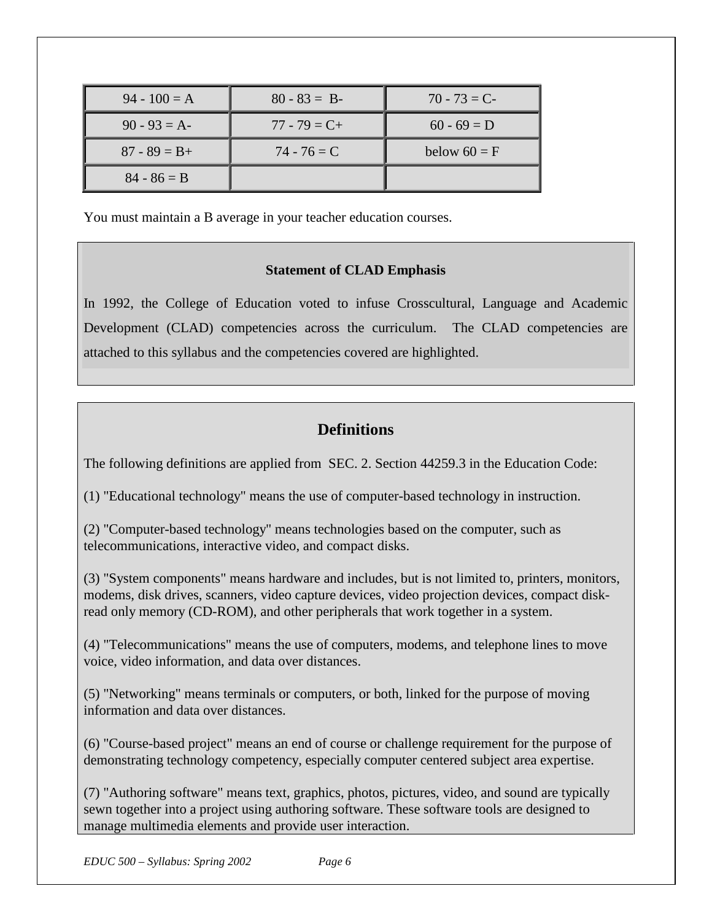| $94 - 100 = A$  | $80 - 83 = B$   | $70 - 73 = C$  |
|-----------------|-----------------|----------------|
| $90 - 93 = A$   | $77 - 79 = C +$ | $60 - 69 = D$  |
| $87 - 89 = B +$ | $74 - 76 = C$   | below $60 = F$ |
| $84 - 86 = B$   |                 |                |

You must maintain a B average in your teacher education courses.

### **Statement of CLAD Emphasis**

In 1992, the College of Education voted to infuse Crosscultural, Language and Academic Development (CLAD) competencies across the curriculum. The CLAD competencies are attached to this syllabus and the competencies covered are highlighted.

## **Definitions**

The following definitions are applied from SEC. 2. Section 44259.3 in the Education Code:

(1) "Educational technology" means the use of computer-based technology in instruction.

(2) "Computer-based technology" means technologies based on the computer, such as telecommunications, interactive video, and compact disks.

(3) "System components" means hardware and includes, but is not limited to, printers, monitors, modems, disk drives, scanners, video capture devices, video projection devices, compact diskread only memory (CD-ROM), and other peripherals that work together in a system.

(4) "Telecommunications" means the use of computers, modems, and telephone lines to move voice, video information, and data over distances.

(5) "Networking" means terminals or computers, or both, linked for the purpose of moving information and data over distances.

(6) "Course-based project" means an end of course or challenge requirement for the purpose of demonstrating technology competency, especially computer centered subject area expertise.

(7) "Authoring software" means text, graphics, photos, pictures, video, and sound are typically sewn together into a project using authoring software. These software tools are designed to manage multimedia elements and provide user interaction.

*EDUC 500 – Syllabus: Spring 2002 Page 6*